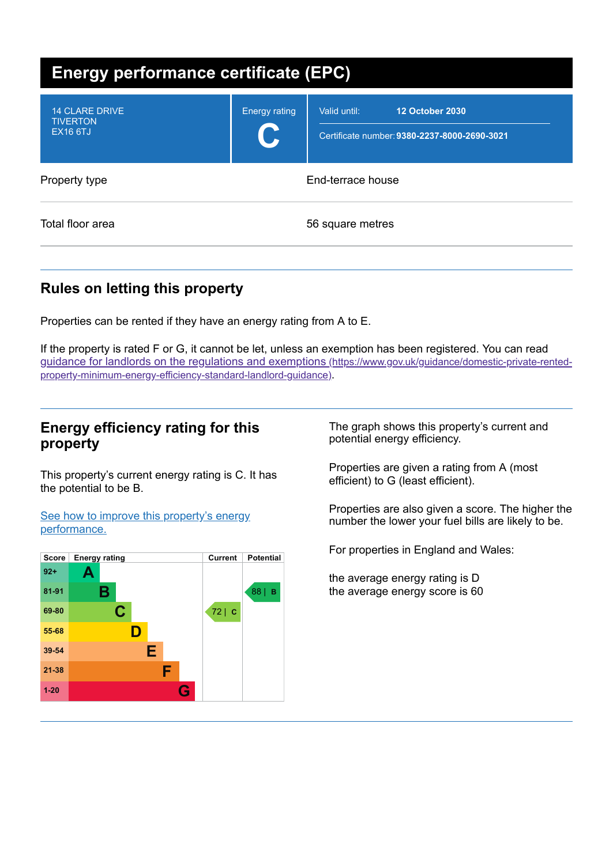| <b>Energy performance certificate (EPC)</b>                 |                            |                                                                                        |  |  |
|-------------------------------------------------------------|----------------------------|----------------------------------------------------------------------------------------|--|--|
| <b>14 CLARE DRIVE</b><br><b>TIVERTON</b><br><b>EX16 6TJ</b> | <b>Energy rating</b><br>U. | <b>12 October 2030</b><br>Valid until:<br>Certificate number: 9380-2237-8000-2690-3021 |  |  |
| Property type                                               |                            | End-terrace house                                                                      |  |  |
| Total floor area                                            |                            | 56 square metres                                                                       |  |  |

## **Rules on letting this property**

Properties can be rented if they have an energy rating from A to E.

If the property is rated F or G, it cannot be let, unless an exemption has been registered. You can read guidance for landlords on the regulations and exemptions (https://www.gov.uk/guidance/domestic-private-rented[property-minimum-energy-efficiency-standard-landlord-guidance\)](https://www.gov.uk/guidance/domestic-private-rented-property-minimum-energy-efficiency-standard-landlord-guidance).

## **Energy efficiency rating for this property**

This property's current energy rating is C. It has the potential to be B.

See how to improve this property's energy [performance.](#page-2-0)



The graph shows this property's current and potential energy efficiency.

Properties are given a rating from A (most efficient) to G (least efficient).

Properties are also given a score. The higher the number the lower your fuel bills are likely to be.

For properties in England and Wales:

the average energy rating is D the average energy score is 60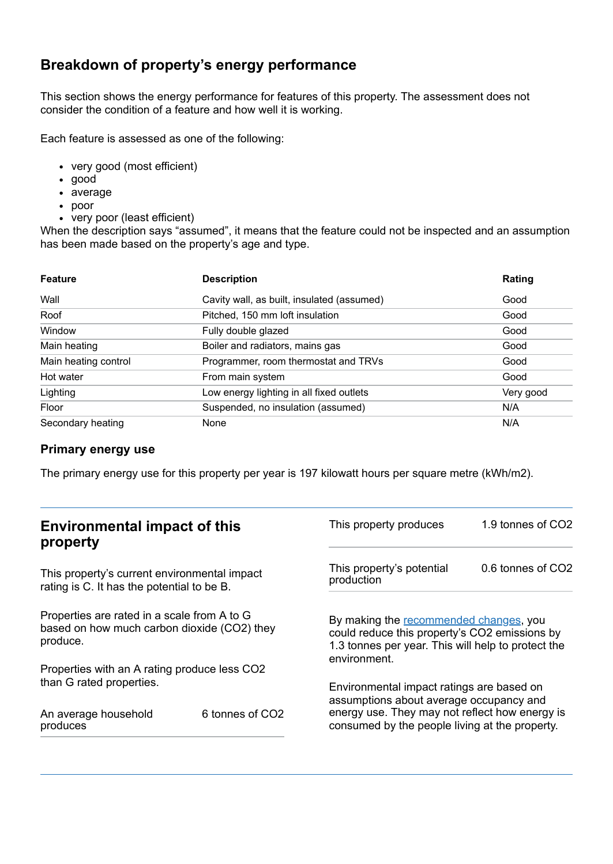## **Breakdown of property's energy performance**

This section shows the energy performance for features of this property. The assessment does not consider the condition of a feature and how well it is working.

Each feature is assessed as one of the following:

- very good (most efficient)
- good
- average
- poor
- very poor (least efficient)

When the description says "assumed", it means that the feature could not be inspected and an assumption has been made based on the property's age and type.

| <b>Feature</b>       | <b>Description</b>                         | Rating    |
|----------------------|--------------------------------------------|-----------|
| Wall                 | Cavity wall, as built, insulated (assumed) | Good      |
| Roof                 | Pitched, 150 mm loft insulation            | Good      |
| Window               | Fully double glazed                        | Good      |
| Main heating         | Boiler and radiators, mains gas            | Good      |
| Main heating control | Programmer, room thermostat and TRVs       | Good      |
| Hot water            | From main system                           | Good      |
| Lighting             | Low energy lighting in all fixed outlets   | Very good |
| Floor                | Suspended, no insulation (assumed)         | N/A       |
| Secondary heating    | None                                       | N/A       |

#### **Primary energy use**

The primary energy use for this property per year is 197 kilowatt hours per square metre (kWh/m2).

| <b>Environmental impact of this</b><br>property                                                        |                 | This property produces                                                                                                                                                                   | 1.9 tonnes of CO2 |
|--------------------------------------------------------------------------------------------------------|-----------------|------------------------------------------------------------------------------------------------------------------------------------------------------------------------------------------|-------------------|
| This property's current environmental impact<br>rating is C. It has the potential to be B.             |                 | This property's potential<br>production                                                                                                                                                  | 0.6 tonnes of CO2 |
| Properties are rated in a scale from A to G<br>based on how much carbon dioxide (CO2) they<br>produce. |                 | By making the recommended changes, you<br>could reduce this property's CO2 emissions by<br>1.3 tonnes per year. This will help to protect the<br>environment.                            |                   |
| Properties with an A rating produce less CO2                                                           |                 |                                                                                                                                                                                          |                   |
| than G rated properties.<br>An average household<br>produces                                           | 6 tonnes of CO2 | Environmental impact ratings are based on<br>assumptions about average occupancy and<br>energy use. They may not reflect how energy is<br>consumed by the people living at the property. |                   |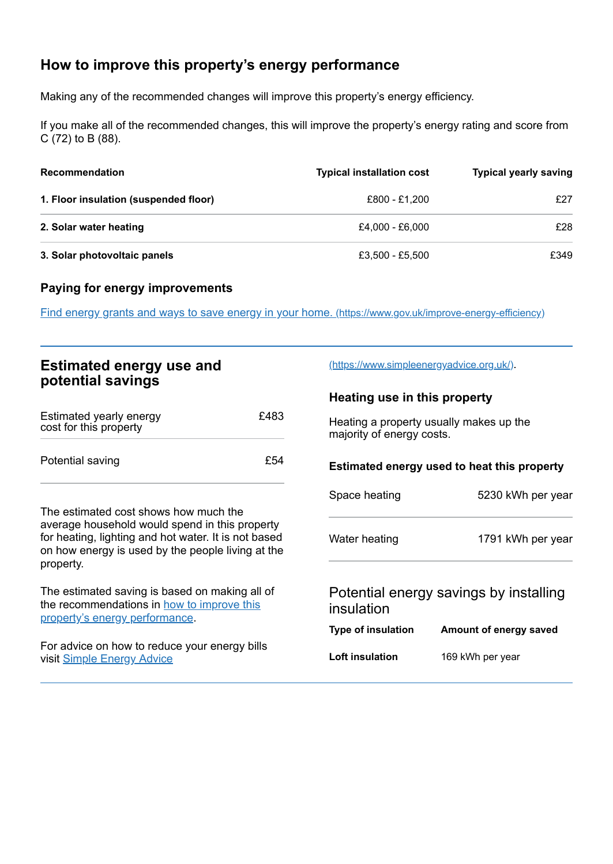# <span id="page-2-0"></span>**How to improve this property's energy performance**

Making any of the recommended changes will improve this property's energy efficiency.

If you make all of the recommended changes, this will improve the property's energy rating and score from C (72) to B (88).

| <b>Recommendation</b>                 | <b>Typical installation cost</b> | <b>Typical yearly saving</b> |
|---------------------------------------|----------------------------------|------------------------------|
| 1. Floor insulation (suspended floor) | £800 - £1.200                    | £27                          |
| 2. Solar water heating                | £4.000 - £6.000                  | £28                          |
| 3. Solar photovoltaic panels          | £3,500 - £5,500                  | £349                         |

### **Paying for energy improvements**

Find energy grants and ways to save energy in your home. [\(https://www.gov.uk/improve-energy-efficiency\)](https://www.gov.uk/improve-energy-efficiency)

| <b>Estimated energy use and</b><br>potential savings                                                                                                                                                              |      | (https://www.simpleenergyadvice.org.uk/)                             |                        |
|-------------------------------------------------------------------------------------------------------------------------------------------------------------------------------------------------------------------|------|----------------------------------------------------------------------|------------------------|
|                                                                                                                                                                                                                   |      | Heating use in this property                                         |                        |
| Estimated yearly energy<br>cost for this property                                                                                                                                                                 | £483 | Heating a property usually makes up the<br>majority of energy costs. |                        |
| Potential saving                                                                                                                                                                                                  | £54  | Estimated energy used to heat this property                          |                        |
|                                                                                                                                                                                                                   |      | Space heating                                                        | 5230 kWh per year      |
| The estimated cost shows how much the<br>average household would spend in this property<br>for heating, lighting and hot water. It is not based<br>on how energy is used by the people living at the<br>property. |      | Water heating                                                        | 1791 kWh per year      |
| The estimated saving is based on making all of<br>the recommendations in how to improve this<br>property's energy performance.                                                                                    |      | Potential energy savings by installing<br>insulation                 |                        |
|                                                                                                                                                                                                                   |      | <b>Type of insulation</b>                                            | Amount of energy saved |
| For advice on how to reduce your energy bills<br>visit Simple Energy Advice                                                                                                                                       |      | Loft insulation                                                      | 169 kWh per year       |